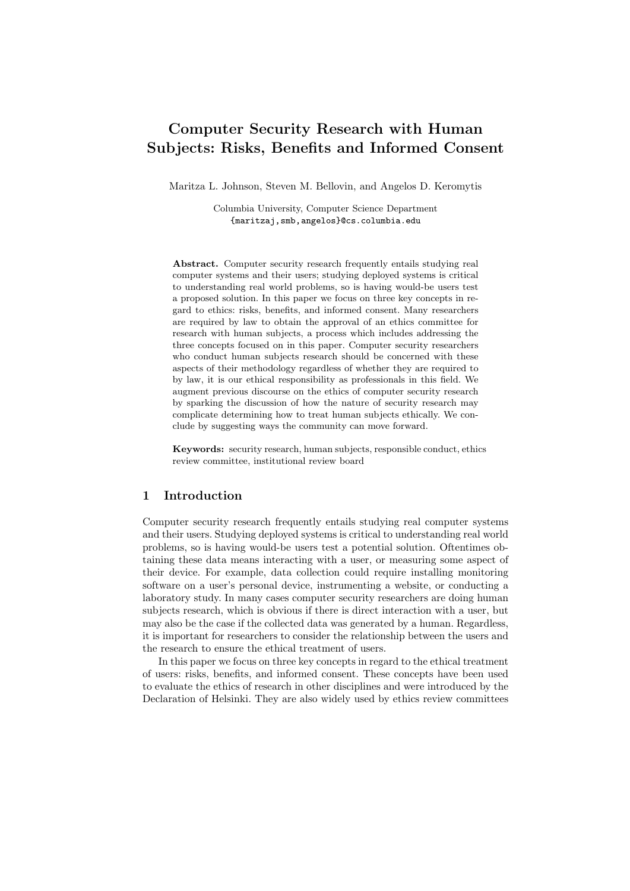# Computer Security Research with Human Subjects: Risks, Benefits and Informed Consent

Maritza L. Johnson, Steven M. Bellovin, and Angelos D. Keromytis

Columbia University, Computer Science Department {maritzaj,smb,angelos}@cs.columbia.edu

Abstract. Computer security research frequently entails studying real computer systems and their users; studying deployed systems is critical to understanding real world problems, so is having would-be users test a proposed solution. In this paper we focus on three key concepts in regard to ethics: risks, benefits, and informed consent. Many researchers are required by law to obtain the approval of an ethics committee for research with human subjects, a process which includes addressing the three concepts focused on in this paper. Computer security researchers who conduct human subjects research should be concerned with these aspects of their methodology regardless of whether they are required to by law, it is our ethical responsibility as professionals in this field. We augment previous discourse on the ethics of computer security research by sparking the discussion of how the nature of security research may complicate determining how to treat human subjects ethically. We conclude by suggesting ways the community can move forward.

Keywords: security research, human subjects, responsible conduct, ethics review committee, institutional review board

# 1 Introduction

Computer security research frequently entails studying real computer systems and their users. Studying deployed systems is critical to understanding real world problems, so is having would-be users test a potential solution. Oftentimes obtaining these data means interacting with a user, or measuring some aspect of their device. For example, data collection could require installing monitoring software on a user's personal device, instrumenting a website, or conducting a laboratory study. In many cases computer security researchers are doing human subjects research, which is obvious if there is direct interaction with a user, but may also be the case if the collected data was generated by a human. Regardless, it is important for researchers to consider the relationship between the users and the research to ensure the ethical treatment of users.

In this paper we focus on three key concepts in regard to the ethical treatment of users: risks, benefits, and informed consent. These concepts have been used to evaluate the ethics of research in other disciplines and were introduced by the Declaration of Helsinki. They are also widely used by ethics review committees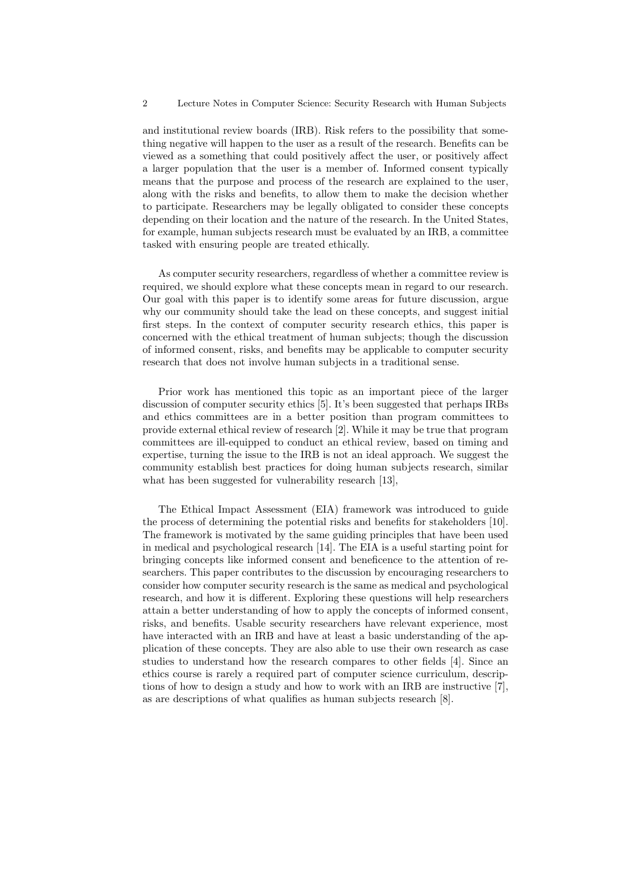and institutional review boards (IRB). Risk refers to the possibility that something negative will happen to the user as a result of the research. Benefits can be viewed as a something that could positively affect the user, or positively affect a larger population that the user is a member of. Informed consent typically means that the purpose and process of the research are explained to the user, along with the risks and benefits, to allow them to make the decision whether to participate. Researchers may be legally obligated to consider these concepts depending on their location and the nature of the research. In the United States, for example, human subjects research must be evaluated by an IRB, a committee tasked with ensuring people are treated ethically.

As computer security researchers, regardless of whether a committee review is required, we should explore what these concepts mean in regard to our research. Our goal with this paper is to identify some areas for future discussion, argue why our community should take the lead on these concepts, and suggest initial first steps. In the context of computer security research ethics, this paper is concerned with the ethical treatment of human subjects; though the discussion of informed consent, risks, and benefits may be applicable to computer security research that does not involve human subjects in a traditional sense.

Prior work has mentioned this topic as an important piece of the larger discussion of computer security ethics [5]. It's been suggested that perhaps IRBs and ethics committees are in a better position than program committees to provide external ethical review of research [2]. While it may be true that program committees are ill-equipped to conduct an ethical review, based on timing and expertise, turning the issue to the IRB is not an ideal approach. We suggest the community establish best practices for doing human subjects research, similar what has been suggested for vulnerability research [13],

The Ethical Impact Assessment (EIA) framework was introduced to guide the process of determining the potential risks and benefits for stakeholders [10]. The framework is motivated by the same guiding principles that have been used in medical and psychological research [14]. The EIA is a useful starting point for bringing concepts like informed consent and beneficence to the attention of researchers. This paper contributes to the discussion by encouraging researchers to consider how computer security research is the same as medical and psychological research, and how it is different. Exploring these questions will help researchers attain a better understanding of how to apply the concepts of informed consent, risks, and benefits. Usable security researchers have relevant experience, most have interacted with an IRB and have at least a basic understanding of the application of these concepts. They are also able to use their own research as case studies to understand how the research compares to other fields [4]. Since an ethics course is rarely a required part of computer science curriculum, descriptions of how to design a study and how to work with an IRB are instructive [7], as are descriptions of what qualifies as human subjects research [8].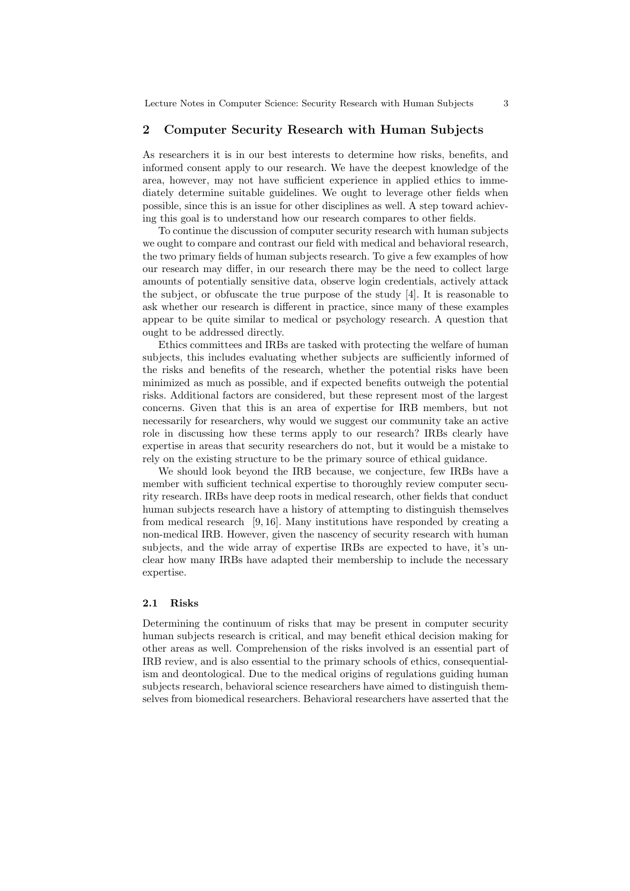# 2 Computer Security Research with Human Subjects

As researchers it is in our best interests to determine how risks, benefits, and informed consent apply to our research. We have the deepest knowledge of the area, however, may not have sufficient experience in applied ethics to immediately determine suitable guidelines. We ought to leverage other fields when possible, since this is an issue for other disciplines as well. A step toward achieving this goal is to understand how our research compares to other fields.

To continue the discussion of computer security research with human subjects we ought to compare and contrast our field with medical and behavioral research, the two primary fields of human subjects research. To give a few examples of how our research may differ, in our research there may be the need to collect large amounts of potentially sensitive data, observe login credentials, actively attack the subject, or obfuscate the true purpose of the study [4]. It is reasonable to ask whether our research is different in practice, since many of these examples appear to be quite similar to medical or psychology research. A question that ought to be addressed directly.

Ethics committees and IRBs are tasked with protecting the welfare of human subjects, this includes evaluating whether subjects are sufficiently informed of the risks and benefits of the research, whether the potential risks have been minimized as much as possible, and if expected benefits outweigh the potential risks. Additional factors are considered, but these represent most of the largest concerns. Given that this is an area of expertise for IRB members, but not necessarily for researchers, why would we suggest our community take an active role in discussing how these terms apply to our research? IRBs clearly have expertise in areas that security researchers do not, but it would be a mistake to rely on the existing structure to be the primary source of ethical guidance.

We should look beyond the IRB because, we conjecture, few IRBs have a member with sufficient technical expertise to thoroughly review computer security research. IRBs have deep roots in medical research, other fields that conduct human subjects research have a history of attempting to distinguish themselves from medical research [9, 16]. Many institutions have responded by creating a non-medical IRB. However, given the nascency of security research with human subjects, and the wide array of expertise IRBs are expected to have, it's unclear how many IRBs have adapted their membership to include the necessary expertise.

### 2.1 Risks

Determining the continuum of risks that may be present in computer security human subjects research is critical, and may benefit ethical decision making for other areas as well. Comprehension of the risks involved is an essential part of IRB review, and is also essential to the primary schools of ethics, consequentialism and deontological. Due to the medical origins of regulations guiding human subjects research, behavioral science researchers have aimed to distinguish themselves from biomedical researchers. Behavioral researchers have asserted that the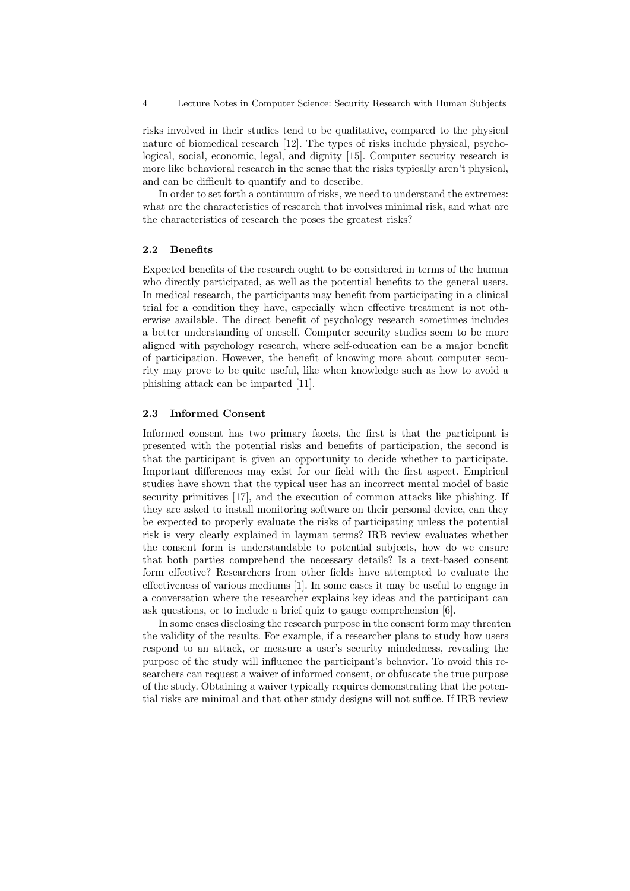risks involved in their studies tend to be qualitative, compared to the physical nature of biomedical research [12]. The types of risks include physical, psychological, social, economic, legal, and dignity [15]. Computer security research is more like behavioral research in the sense that the risks typically aren't physical, and can be difficult to quantify and to describe.

In order to set forth a continuum of risks, we need to understand the extremes: what are the characteristics of research that involves minimal risk, and what are the characteristics of research the poses the greatest risks?

### 2.2 Benefits

Expected benefits of the research ought to be considered in terms of the human who directly participated, as well as the potential benefits to the general users. In medical research, the participants may benefit from participating in a clinical trial for a condition they have, especially when effective treatment is not otherwise available. The direct benefit of psychology research sometimes includes a better understanding of oneself. Computer security studies seem to be more aligned with psychology research, where self-education can be a major benefit of participation. However, the benefit of knowing more about computer security may prove to be quite useful, like when knowledge such as how to avoid a phishing attack can be imparted [11].

# 2.3 Informed Consent

Informed consent has two primary facets, the first is that the participant is presented with the potential risks and benefits of participation, the second is that the participant is given an opportunity to decide whether to participate. Important differences may exist for our field with the first aspect. Empirical studies have shown that the typical user has an incorrect mental model of basic security primitives [17], and the execution of common attacks like phishing. If they are asked to install monitoring software on their personal device, can they be expected to properly evaluate the risks of participating unless the potential risk is very clearly explained in layman terms? IRB review evaluates whether the consent form is understandable to potential subjects, how do we ensure that both parties comprehend the necessary details? Is a text-based consent form effective? Researchers from other fields have attempted to evaluate the effectiveness of various mediums [1]. In some cases it may be useful to engage in a conversation where the researcher explains key ideas and the participant can ask questions, or to include a brief quiz to gauge comprehension [6].

In some cases disclosing the research purpose in the consent form may threaten the validity of the results. For example, if a researcher plans to study how users respond to an attack, or measure a user's security mindedness, revealing the purpose of the study will influence the participant's behavior. To avoid this researchers can request a waiver of informed consent, or obfuscate the true purpose of the study. Obtaining a waiver typically requires demonstrating that the potential risks are minimal and that other study designs will not suffice. If IRB review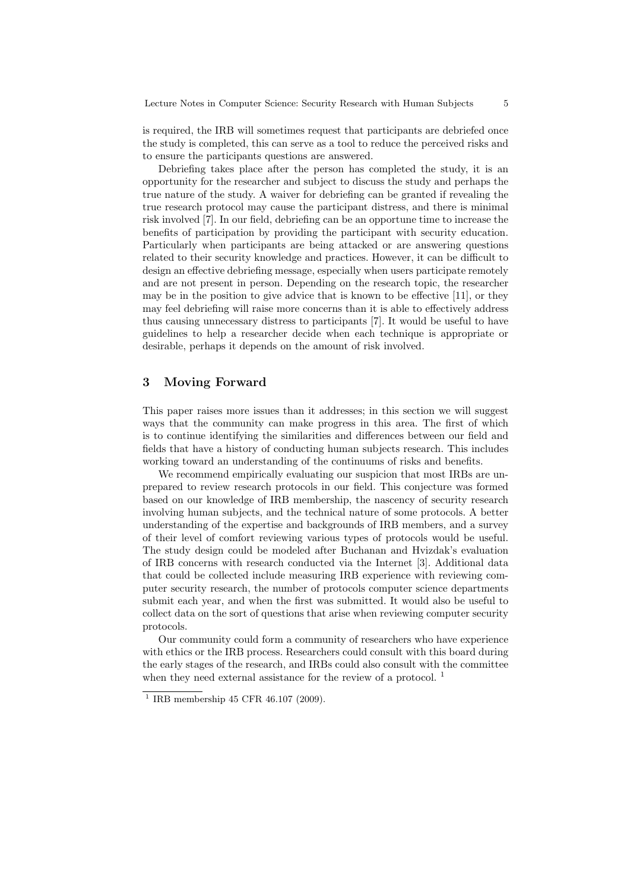is required, the IRB will sometimes request that participants are debriefed once the study is completed, this can serve as a tool to reduce the perceived risks and to ensure the participants questions are answered.

Debriefing takes place after the person has completed the study, it is an opportunity for the researcher and subject to discuss the study and perhaps the true nature of the study. A waiver for debriefing can be granted if revealing the true research protocol may cause the participant distress, and there is minimal risk involved [7]. In our field, debriefing can be an opportune time to increase the benefits of participation by providing the participant with security education. Particularly when participants are being attacked or are answering questions related to their security knowledge and practices. However, it can be difficult to design an effective debriefing message, especially when users participate remotely and are not present in person. Depending on the research topic, the researcher may be in the position to give advice that is known to be effective [11], or they may feel debriefing will raise more concerns than it is able to effectively address thus causing unnecessary distress to participants [7]. It would be useful to have guidelines to help a researcher decide when each technique is appropriate or desirable, perhaps it depends on the amount of risk involved.

# 3 Moving Forward

This paper raises more issues than it addresses; in this section we will suggest ways that the community can make progress in this area. The first of which is to continue identifying the similarities and differences between our field and fields that have a history of conducting human subjects research. This includes working toward an understanding of the continuums of risks and benefits.

We recommend empirically evaluating our suspicion that most IRBs are unprepared to review research protocols in our field. This conjecture was formed based on our knowledge of IRB membership, the nascency of security research involving human subjects, and the technical nature of some protocols. A better understanding of the expertise and backgrounds of IRB members, and a survey of their level of comfort reviewing various types of protocols would be useful. The study design could be modeled after Buchanan and Hvizdak's evaluation of IRB concerns with research conducted via the Internet [3]. Additional data that could be collected include measuring IRB experience with reviewing computer security research, the number of protocols computer science departments submit each year, and when the first was submitted. It would also be useful to collect data on the sort of questions that arise when reviewing computer security protocols.

Our community could form a community of researchers who have experience with ethics or the IRB process. Researchers could consult with this board during the early stages of the research, and IRBs could also consult with the committee when they need external assistance for the review of a protocol.<sup>1</sup>

 $1$  IRB membership 45 CFR 46.107 (2009).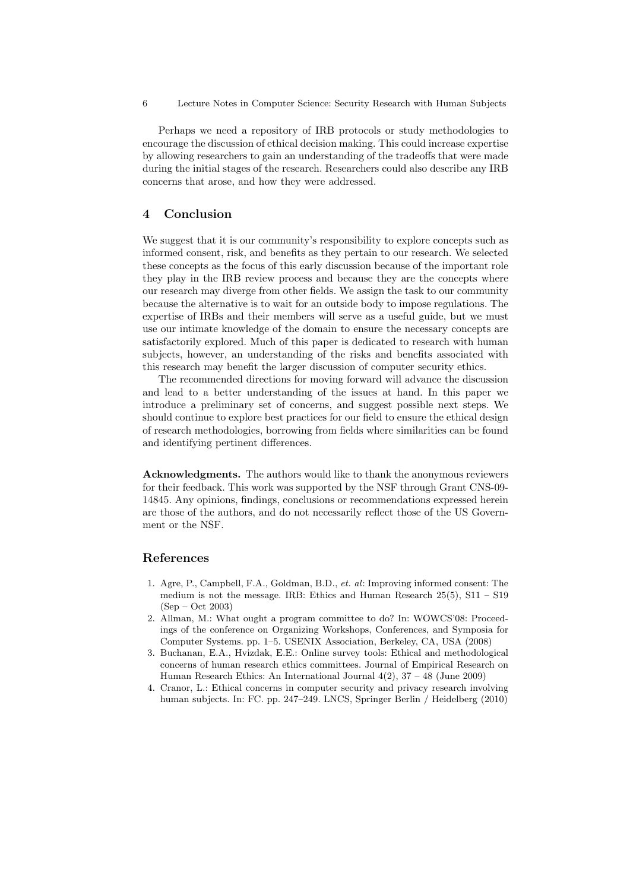Perhaps we need a repository of IRB protocols or study methodologies to encourage the discussion of ethical decision making. This could increase expertise by allowing researchers to gain an understanding of the tradeoffs that were made during the initial stages of the research. Researchers could also describe any IRB concerns that arose, and how they were addressed.

# 4 Conclusion

We suggest that it is our community's responsibility to explore concepts such as informed consent, risk, and benefits as they pertain to our research. We selected these concepts as the focus of this early discussion because of the important role they play in the IRB review process and because they are the concepts where our research may diverge from other fields. We assign the task to our community because the alternative is to wait for an outside body to impose regulations. The expertise of IRBs and their members will serve as a useful guide, but we must use our intimate knowledge of the domain to ensure the necessary concepts are satisfactorily explored. Much of this paper is dedicated to research with human subjects, however, an understanding of the risks and benefits associated with this research may benefit the larger discussion of computer security ethics.

The recommended directions for moving forward will advance the discussion and lead to a better understanding of the issues at hand. In this paper we introduce a preliminary set of concerns, and suggest possible next steps. We should continue to explore best practices for our field to ensure the ethical design of research methodologies, borrowing from fields where similarities can be found and identifying pertinent differences.

Acknowledgments. The authors would like to thank the anonymous reviewers for their feedback. This work was supported by the NSF through Grant CNS-09- 14845. Any opinions, findings, conclusions or recommendations expressed herein are those of the authors, and do not necessarily reflect those of the US Government or the NSF.

# References

- 1. Agre, P., Campbell, F.A., Goldman, B.D., *et. al*: Improving informed consent: The medium is not the message. IRB: Ethics and Human Research 25(5), S11 – S19 (Sep – Oct 2003)
- 2. Allman, M.: What ought a program committee to do? In: WOWCS'08: Proceedings of the conference on Organizing Workshops, Conferences, and Symposia for Computer Systems. pp. 1–5. USENIX Association, Berkeley, CA, USA (2008)
- 3. Buchanan, E.A., Hvizdak, E.E.: Online survey tools: Ethical and methodological concerns of human research ethics committees. Journal of Empirical Research on Human Research Ethics: An International Journal 4(2), 37 – 48 (June 2009)
- 4. Cranor, L.: Ethical concerns in computer security and privacy research involving human subjects. In: FC. pp. 247–249. LNCS, Springer Berlin / Heidelberg (2010)